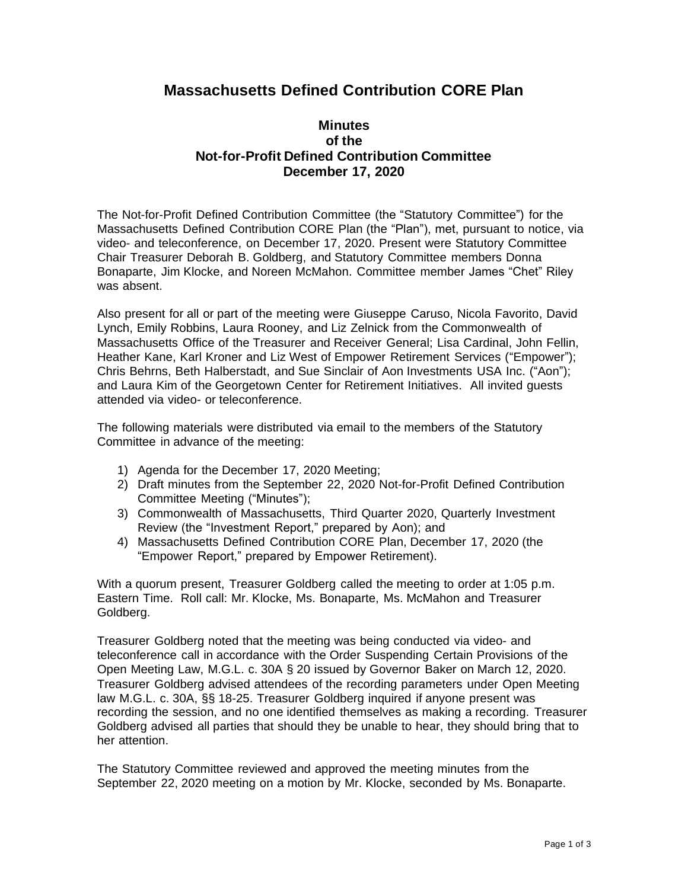## **Massachusetts Defined Contribution CORE Plan**

## **Minutes of the Not-for-Profit Defined Contribution Committee December 17, 2020**

The Not-for-Profit Defined Contribution Committee (the "Statutory Committee") for the Massachusetts Defined Contribution CORE Plan (the "Plan"), met, pursuant to notice, via video- and teleconference, on December 17, 2020. Present were Statutory Committee Chair Treasurer Deborah B. Goldberg, and Statutory Committee members Donna Bonaparte, Jim Klocke, and Noreen McMahon. Committee member James "Chet" Riley was absent.

Also present for all or part of the meeting were Giuseppe Caruso, Nicola Favorito, David Lynch, Emily Robbins, Laura Rooney, and Liz Zelnick from the Commonwealth of Massachusetts Office of the Treasurer and Receiver General; Lisa Cardinal, John Fellin, Heather Kane, Karl Kroner and Liz West of Empower Retirement Services ("Empower"); Chris Behrns, Beth Halberstadt, and Sue Sinclair of Aon Investments USA Inc. ("Aon"); and Laura Kim of the Georgetown Center for Retirement Initiatives. All invited guests attended via video- or teleconference.

The following materials were distributed via email to the members of the Statutory Committee in advance of the meeting:

- 1) Agenda for the December 17, 2020 Meeting;
- 2) Draft minutes from the September 22, 2020 Not-for-Profit Defined Contribution Committee Meeting ("Minutes");
- 3) Commonwealth of Massachusetts, Third Quarter 2020, Quarterly Investment Review (the "Investment Report," prepared by Aon); and
- 4) Massachusetts Defined Contribution CORE Plan, December 17, 2020 (the "Empower Report," prepared by Empower Retirement).

With a quorum present, Treasurer Goldberg called the meeting to order at 1:05 p.m. Eastern Time. Roll call: Mr. Klocke, Ms. Bonaparte, Ms. McMahon and Treasurer Goldberg.

Treasurer Goldberg noted that the meeting was being conducted via video- and teleconference call in accordance with the Order Suspending Certain Provisions of the Open Meeting Law, M.G.L. c. 30A § 20 issued by Governor Baker on March 12, 2020. Treasurer Goldberg advised attendees of the recording parameters under Open Meeting law M.G.L. c. 30A, §§ 18-25. Treasurer Goldberg inquired if anyone present was recording the session, and no one identified themselves as making a recording. Treasurer Goldberg advised all parties that should they be unable to hear, they should bring that to her attention.

The Statutory Committee reviewed and approved the meeting minutes from the September 22, 2020 meeting on a motion by Mr. Klocke, seconded by Ms. Bonaparte.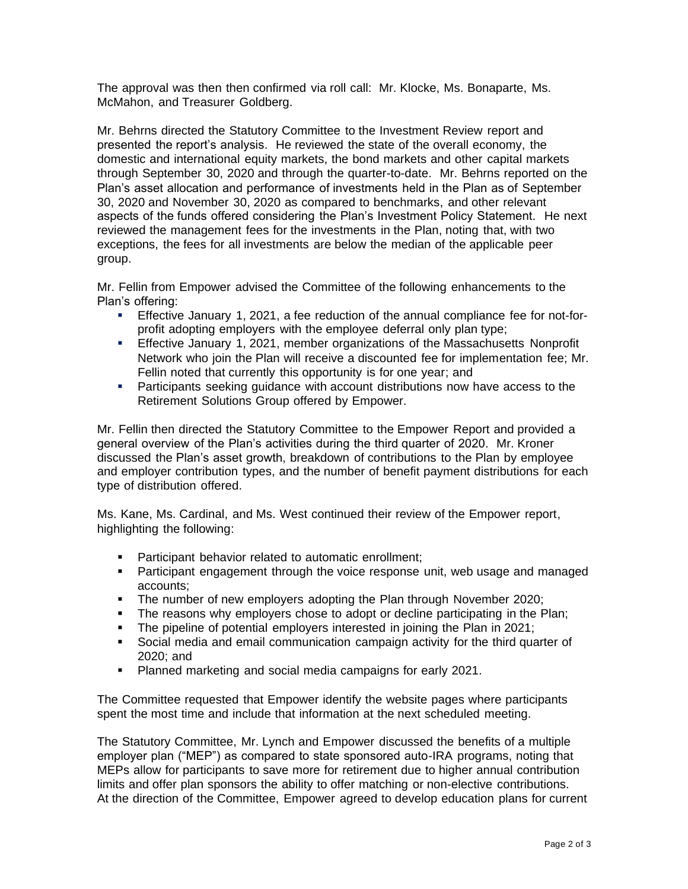The approval was then then confirmed via roll call: Mr. Klocke, Ms. Bonaparte, Ms. McMahon, and Treasurer Goldberg.

Mr. Behrns directed the Statutory Committee to the Investment Review report and presented the report's analysis. He reviewed the state of the overall economy, the domestic and international equity markets, the bond markets and other capital markets through September 30, 2020 and through the quarter-to-date. Mr. Behrns reported on the Plan's asset allocation and performance of investments held in the Plan as of September 30, 2020 and November 30, 2020 as compared to benchmarks, and other relevant aspects of the funds offered considering the Plan's Investment Policy Statement. He next reviewed the management fees for the investments in the Plan, noting that, with two exceptions, the fees for all investments are below the median of the applicable peer group.

Mr. Fellin from Empower advised the Committee of the following enhancements to the Plan's offering:

- **Effective January 1, 2021, a fee reduction of the annual compliance fee for not-for**profit adopting employers with the employee deferral only plan type;
- **Effective January 1, 2021, member organizations of the Massachusetts Nonprofit** Network who join the Plan will receive a discounted fee for implementation fee; Mr. Fellin noted that currently this opportunity is for one year; and
- Participants seeking guidance with account distributions now have access to the Retirement Solutions Group offered by Empower.

Mr. Fellin then directed the Statutory Committee to the Empower Report and provided a general overview of the Plan's activities during the third quarter of 2020. Mr. Kroner discussed the Plan's asset growth, breakdown of contributions to the Plan by employee and employer contribution types, and the number of benefit payment distributions for each type of distribution offered.

Ms. Kane, Ms. Cardinal, and Ms. West continued their review of the Empower report, highlighting the following:

- Participant behavior related to automatic enrollment:
- **•** Participant engagement through the voice response unit, web usage and managed accounts;
- **•** The number of new employers adopting the Plan through November 2020;
- **•** The reasons why employers chose to adopt or decline participating in the Plan;
- **•** The pipeline of potential employers interested in joining the Plan in 2021;
- Social media and email communication campaign activity for the third quarter of 2020; and
- Planned marketing and social media campaigns for early 2021.

The Committee requested that Empower identify the website pages where participants spent the most time and include that information at the next scheduled meeting.

The Statutory Committee, Mr. Lynch and Empower discussed the benefits of a multiple employer plan ("MEP") as compared to state sponsored auto-IRA programs, noting that MEPs allow for participants to save more for retirement due to higher annual contribution limits and offer plan sponsors the ability to offer matching or non-elective contributions. At the direction of the Committee, Empower agreed to develop education plans for current